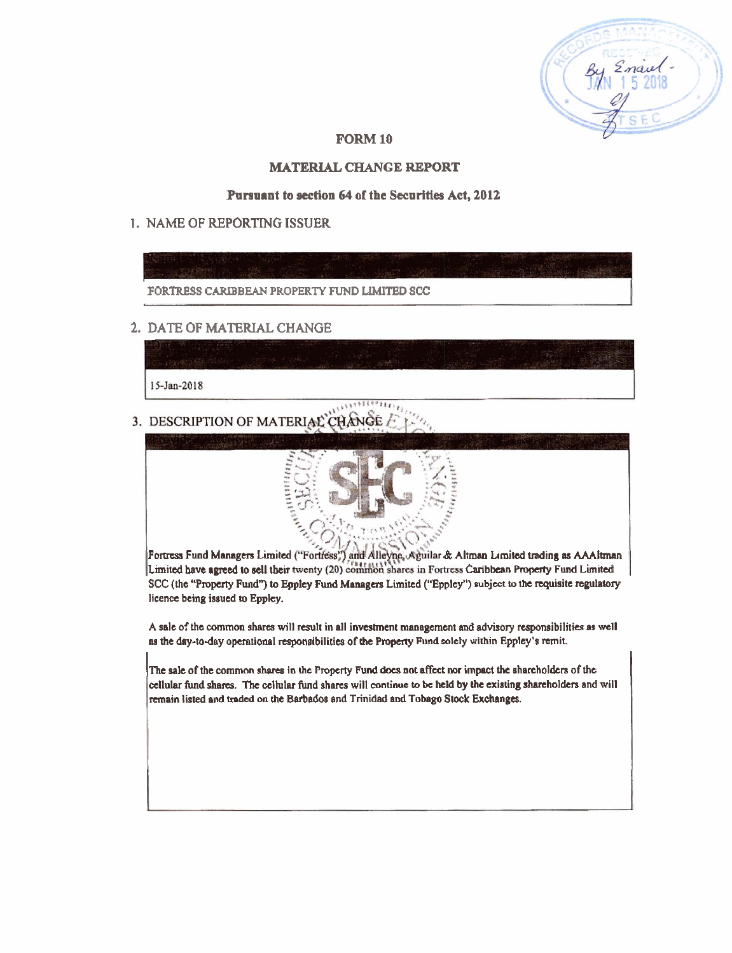## **FORM 10**

# **MATERIAL CHANGE REPORT**

### **Purauant to section 64 of the Securities Act, 2012**

# 1. NAME OF REPORTING **ISSUER**



## **2. DATE** OF **MATERIAL** CHANGE

15-Jan-2018

3. DESCRIPTION OF MATERIAL CHANGE



Fortress Fund Managers Limited ("Fortress") and Alleyne, Aguilar & Altman Limited trading as AAAltman Limited have agreed to sell their twenty (20) common shares in Fortress Caribbean Property Fund Limited SCC (the **"Pmperty** Fund") **Eppley** Fund Managas Limited ("Epploy") subject to **the** requisite **regulatory**  licence being issued **to** Eppley.

A sale of the common shares will result in all investment management and advisory responsibilities as well as the day-to-day operational responsibilities of the Property Fund solely within Eppley's remit.

The sale of the common shares in the Property Fund does not affect nor impact the shareholders of the cellular fund shares. The cellular fund shares will continue to be held by the existing shareholders and will remain listed and traded on the Barbados and Trinidad and Tobago Stock Exchanges.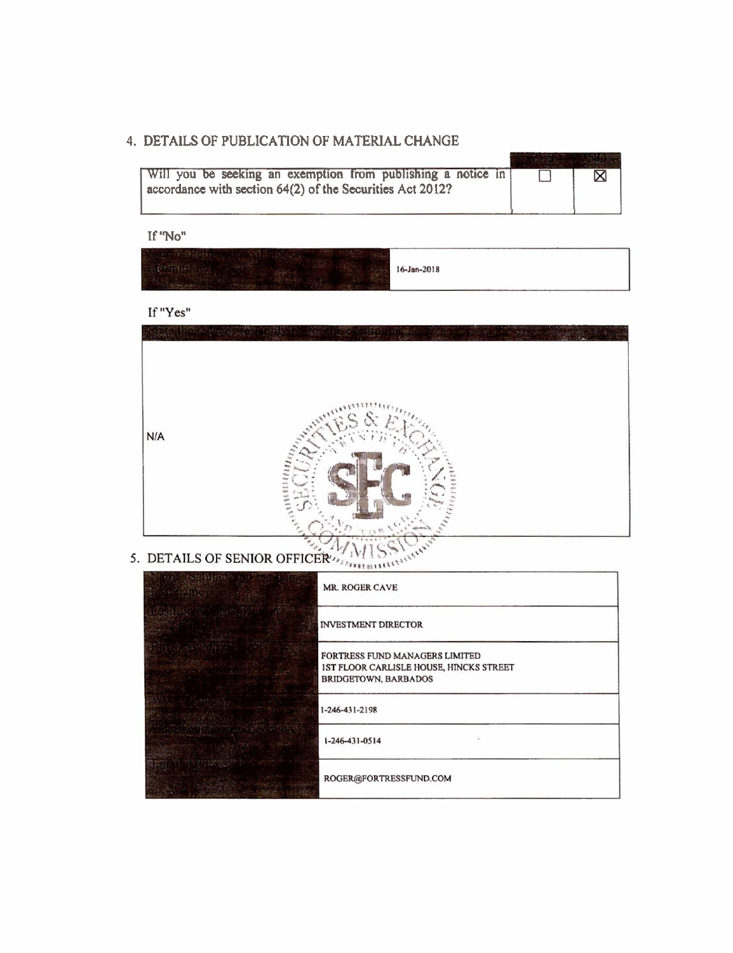# **4. DETAlLS OF PUBLICATION OF MATERIAL CHANGE**

| Will you be seeking an exemption from publishing a notice in |  |
|--------------------------------------------------------------|--|
| accordance with section $64(2)$ of the Securities Act 2012?  |  |
|                                                              |  |

**If "No"** 

|  |  | 16-Jan-2018<br>en antare de l'America. | and the property of the control of the |
|--|--|----------------------------------------|----------------------------------------|
|--|--|----------------------------------------|----------------------------------------|

If "Yes"



5. DETAILS OF SENIOR OFFICER

| 「その 2005」とこれが | <b>MR. ROGER CAVE</b>                                                                                    |
|---------------|----------------------------------------------------------------------------------------------------------|
|               | <b>INVESTMENT DIRECTOR</b>                                                                               |
|               | FORTRESS FUND MANAGERS LIMITED<br>IST FLOOR CARLISLE HOUSE, HINCKS STREET<br><b>BRIDGETOWN, BARBADOS</b> |
|               | 1-246-431-2198                                                                                           |
|               | $1 - 246 - 431 - 0514$                                                                                   |
|               | ROGER@FORTRESSFUND.COM                                                                                   |